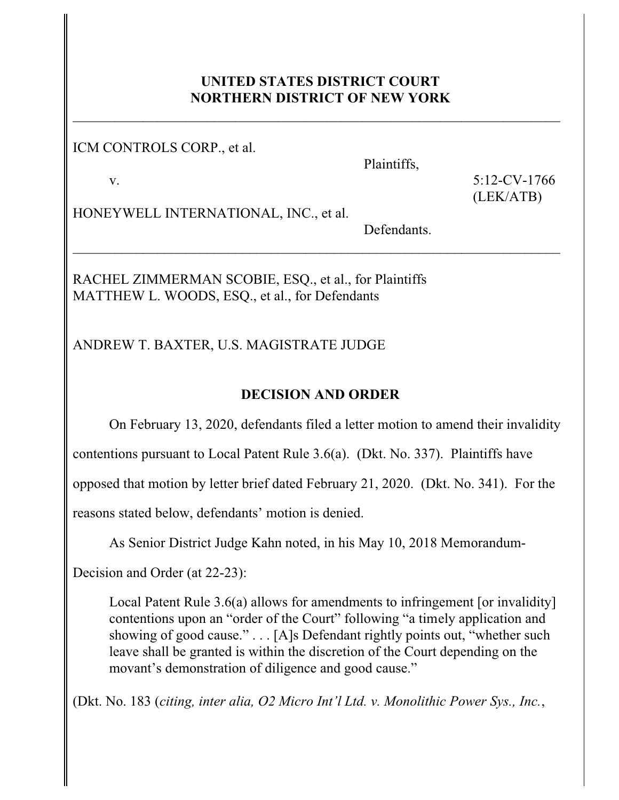## **UNITED STATES DISTRICT COURT NORTHERN DISTRICT OF NEW YORK**

 $\overline{a}$  , and the contribution of the contribution of the contribution of the contribution of the contribution of the contribution of the contribution of the contribution of the contribution of the contribution of the co

 $\mathcal{L}_\text{max}$  , and the contract of the contract of the contract of the contract of the contract of the contract of the contract of the contract of the contract of the contract of the contract of the contract of the contr

ICM CONTROLS CORP., et al.

Plaintiffs,

v. 5:12-CV-1766

(LEK/ATB)

HONEYWELL INTERNATIONAL, INC., et al.

Defendants.

RACHEL ZIMMERMAN SCOBIE, ESQ., et al., for Plaintiffs MATTHEW L. WOODS, ESQ., et al., for Defendants

ANDREW T. BAXTER, U.S. MAGISTRATE JUDGE

## **DECISION AND ORDER**

On February 13, 2020, defendants filed a letter motion to amend their invalidity

contentions pursuant to Local Patent Rule 3.6(a). (Dkt. No. 337). Plaintiffs have

opposed that motion by letter brief dated February 21, 2020. (Dkt. No. 341). For the

reasons stated below, defendants' motion is denied.

As Senior District Judge Kahn noted, in his May 10, 2018 Memorandum-

Decision and Order (at 22-23):

Local Patent Rule 3.6(a) allows for amendments to infringement [or invalidity] contentions upon an "order of the Court" following "a timely application and showing of good cause." . . . [A]s Defendant rightly points out, "whether such leave shall be granted is within the discretion of the Court depending on the movant's demonstration of diligence and good cause."

(Dkt. No. 183 (*citing, inter alia, O2 Micro Int'l Ltd. v. Monolithic Power Sys., Inc.*,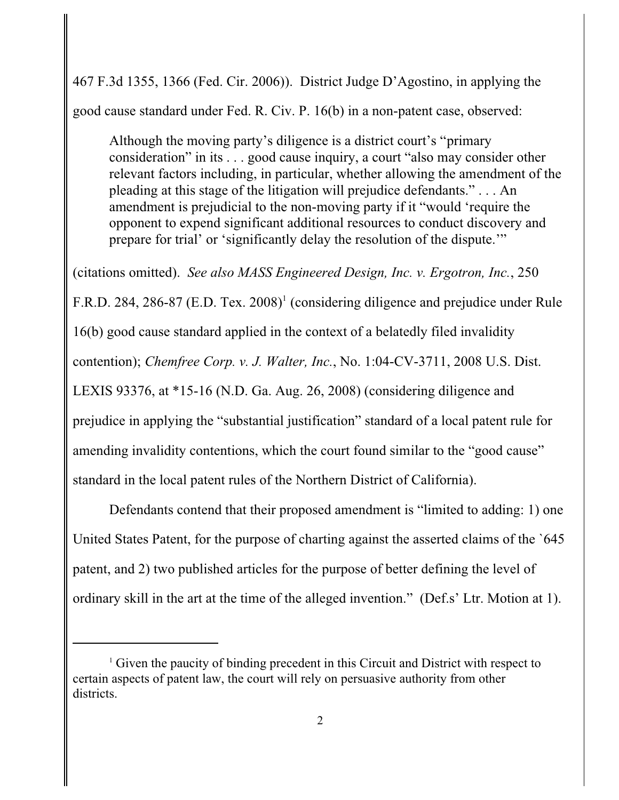467 F.3d 1355, 1366 (Fed. Cir. 2006)). District Judge D'Agostino, in applying the good cause standard under Fed. R. Civ. P. 16(b) in a non-patent case, observed:

Although the moving party's diligence is a district court's "primary consideration" in its . . . good cause inquiry, a court "also may consider other relevant factors including, in particular, whether allowing the amendment of the pleading at this stage of the litigation will prejudice defendants." . . . An amendment is prejudicial to the non-moving party if it "would 'require the opponent to expend significant additional resources to conduct discovery and prepare for trial' or 'significantly delay the resolution of the dispute.'"

(citations omitted). *See also MASS Engineered Design, Inc. v. Ergotron, Inc.*, 250 F.R.D. 284, 286-87 (E.D. Tex. 2008)<sup>1</sup> (considering diligence and prejudice under Rule 16(b) good cause standard applied in the context of a belatedly filed invalidity contention); *Chemfree Corp. v. J. Walter, Inc.*, No. 1:04-CV-3711, 2008 U.S. Dist. LEXIS 93376, at \*15-16 (N.D. Ga. Aug. 26, 2008) (considering diligence and prejudice in applying the "substantial justification" standard of a local patent rule for amending invalidity contentions, which the court found similar to the "good cause" standard in the local patent rules of the Northern District of California).

Defendants contend that their proposed amendment is "limited to adding: 1) one United States Patent, for the purpose of charting against the asserted claims of the `645 patent, and 2) two published articles for the purpose of better defining the level of ordinary skill in the art at the time of the alleged invention." (Def.s' Ltr. Motion at 1).

<sup>&</sup>lt;sup>1</sup> Given the paucity of binding precedent in this Circuit and District with respect to certain aspects of patent law, the court will rely on persuasive authority from other districts.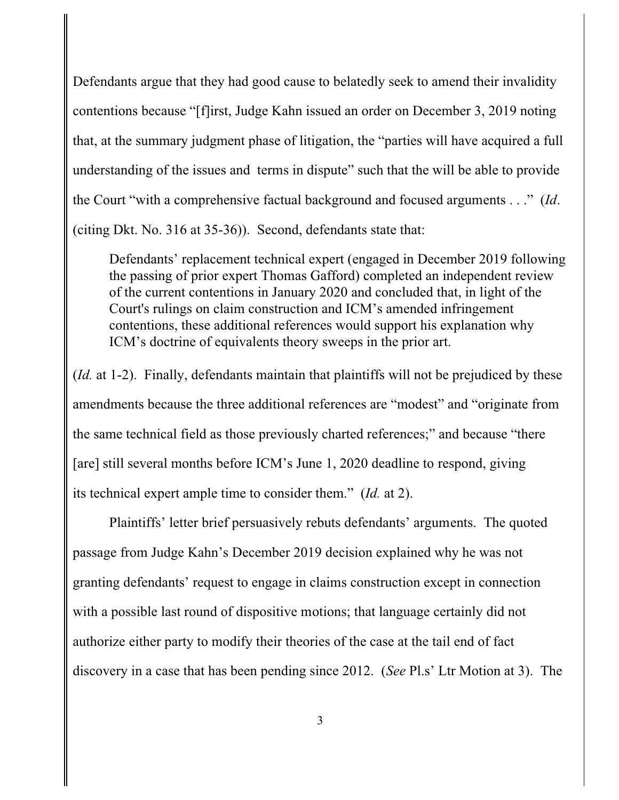Defendants argue that they had good cause to belatedly seek to amend their invalidity contentions because "[f]irst, Judge Kahn issued an order on December 3, 2019 noting that, at the summary judgment phase of litigation, the "parties will have acquired a full understanding of the issues and terms in dispute" such that the will be able to provide the Court "with a comprehensive factual background and focused arguments . . ." (*Id*. (citing Dkt. No. 316 at 35-36)). Second, defendants state that:

Defendants' replacement technical expert (engaged in December 2019 following the passing of prior expert Thomas Gafford) completed an independent review of the current contentions in January 2020 and concluded that, in light of the Court's rulings on claim construction and ICM's amended infringement contentions, these additional references would support his explanation why ICM's doctrine of equivalents theory sweeps in the prior art.

(*Id.* at 1-2). Finally, defendants maintain that plaintiffs will not be prejudiced by these amendments because the three additional references are "modest" and "originate from the same technical field as those previously charted references;" and because "there [are] still several months before ICM's June 1, 2020 deadline to respond, giving its technical expert ample time to consider them." (*Id.* at 2).

Plaintiffs' letter brief persuasively rebuts defendants' arguments. The quoted passage from Judge Kahn's December 2019 decision explained why he was not granting defendants' request to engage in claims construction except in connection with a possible last round of dispositive motions; that language certainly did not authorize either party to modify their theories of the case at the tail end of fact discovery in a case that has been pending since 2012. (*See* Pl.s' Ltr Motion at 3). The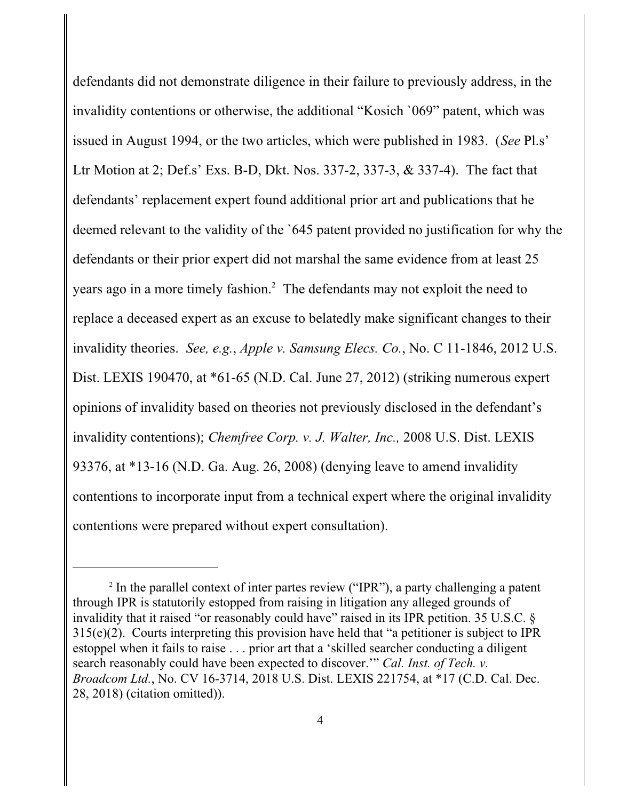defendants did not demonstrate diligence in their failure to previously address, in the invalidity contentions or otherwise, the additional "Kosich `069" patent, which was issued in August 1994, or the two articles, which were published in 1983. (*See* Pl.s' Ltr Motion at 2; Def.s' Exs. B-D, Dkt. Nos. 337-2, 337-3, & 337-4). The fact that defendants' replacement expert found additional prior art and publications that he deemed relevant to the validity of the `645 patent provided no justification for why the defendants or their prior expert did not marshal the same evidence from at least 25 years ago in a more timely fashion.<sup>2</sup> The defendants may not exploit the need to replace a deceased expert as an excuse to belatedly make significant changes to their invalidity theories. *See, e.g.*, *Apple v. Samsung Elecs. Co.*, No. C 11-1846, 2012 U.S. Dist. LEXIS 190470, at \*61-65 (N.D. Cal. June 27, 2012) (striking numerous expert opinions of invalidity based on theories not previously disclosed in the defendant's invalidity contentions); *Chemfree Corp. v. J. Walter, Inc.,* 2008 U.S. Dist. LEXIS 93376, at \*13-16 (N.D. Ga. Aug. 26, 2008) (denying leave to amend invalidity contentions to incorporate input from a technical expert where the original invalidity contentions were prepared without expert consultation).

<sup>&</sup>lt;sup>2</sup> In the parallel context of inter partes review ("IPR"), a party challenging a patent through IPR is statutorily estopped from raising in litigation any alleged grounds of invalidity that it raised "or reasonably could have" raised in its IPR petition. 35 U.S.C. § 315(e)(2). Courts interpreting this provision have held that "a petitioner is subject to IPR estoppel when it fails to raise . . . prior art that a 'skilled searcher conducting a diligent search reasonably could have been expected to discover.'" *Cal. Inst. of Tech. v. Broadcom Ltd.*, No. CV 16-3714, 2018 U.S. Dist. LEXIS 221754, at \*17 (C.D. Cal. Dec. 28, 2018) (citation omitted)).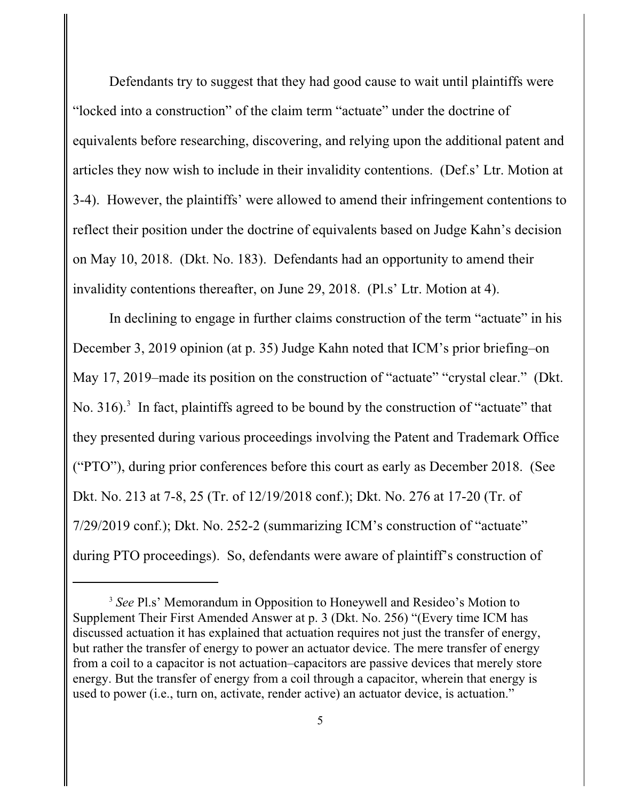Defendants try to suggest that they had good cause to wait until plaintiffs were "locked into a construction" of the claim term "actuate" under the doctrine of equivalents before researching, discovering, and relying upon the additional patent and articles they now wish to include in their invalidity contentions. (Def.s' Ltr. Motion at 3-4). However, the plaintiffs' were allowed to amend their infringement contentions to reflect their position under the doctrine of equivalents based on Judge Kahn's decision on May 10, 2018. (Dkt. No. 183). Defendants had an opportunity to amend their invalidity contentions thereafter, on June 29, 2018. (Pl.s' Ltr. Motion at 4).

In declining to engage in further claims construction of the term "actuate" in his December 3, 2019 opinion (at p. 35) Judge Kahn noted that ICM's prior briefing–on May 17, 2019–made its position on the construction of "actuate" "crystal clear." (Dkt. No. 316). $3$  In fact, plaintiffs agreed to be bound by the construction of "actuate" that they presented during various proceedings involving the Patent and Trademark Office ("PTO"), during prior conferences before this court as early as December 2018. (See Dkt. No. 213 at 7-8, 25 (Tr. of 12/19/2018 conf.); Dkt. No. 276 at 17-20 (Tr. of 7/29/2019 conf.); Dkt. No. 252-2 (summarizing ICM's construction of "actuate" during PTO proceedings). So, defendants were aware of plaintiff's construction of

<sup>3</sup> *See* Pl.s' Memorandum in Opposition to Honeywell and Resideo's Motion to Supplement Their First Amended Answer at p. 3 (Dkt. No. 256) "(Every time ICM has discussed actuation it has explained that actuation requires not just the transfer of energy, but rather the transfer of energy to power an actuator device. The mere transfer of energy from a coil to a capacitor is not actuation–capacitors are passive devices that merely store energy. But the transfer of energy from a coil through a capacitor, wherein that energy is used to power (i.e., turn on, activate, render active) an actuator device, is actuation."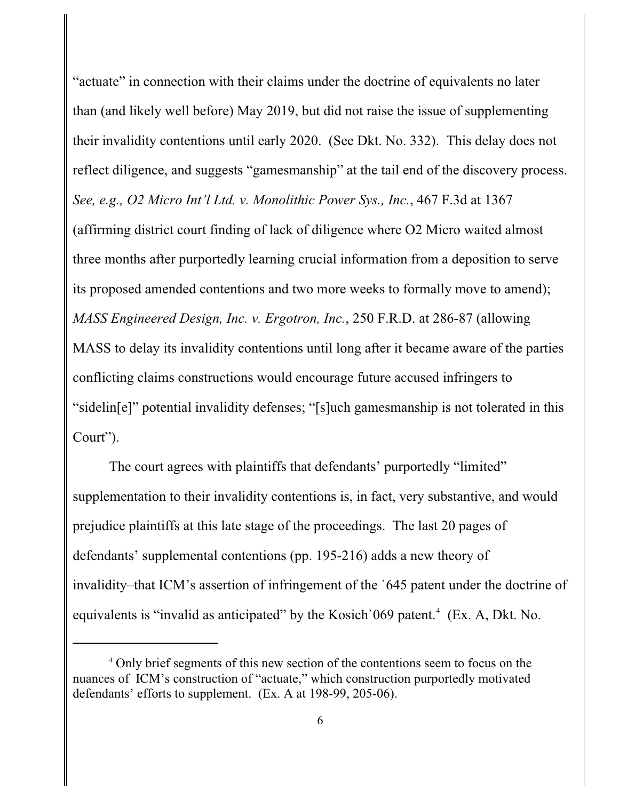"actuate" in connection with their claims under the doctrine of equivalents no later than (and likely well before) May 2019, but did not raise the issue of supplementing their invalidity contentions until early 2020. (See Dkt. No. 332). This delay does not reflect diligence, and suggests "gamesmanship" at the tail end of the discovery process. *See, e.g., O2 Micro Int'l Ltd. v. Monolithic Power Sys., Inc.*, 467 F.3d at 1367 (affirming district court finding of lack of diligence where O2 Micro waited almost three months after purportedly learning crucial information from a deposition to serve its proposed amended contentions and two more weeks to formally move to amend); *MASS Engineered Design, Inc. v. Ergotron, Inc.*, 250 F.R.D. at 286-87 (allowing MASS to delay its invalidity contentions until long after it became aware of the parties conflicting claims constructions would encourage future accused infringers to "sidelin[e]" potential invalidity defenses; "[s]uch gamesmanship is not tolerated in this Court").

The court agrees with plaintiffs that defendants' purportedly "limited" supplementation to their invalidity contentions is, in fact, very substantive, and would prejudice plaintiffs at this late stage of the proceedings. The last 20 pages of defendants' supplemental contentions (pp. 195-216) adds a new theory of invalidity–that ICM's assertion of infringement of the `645 patent under the doctrine of equivalents is "invalid as anticipated" by the Kosich 069 patent.<sup>4</sup> (Ex. A, Dkt. No.

<sup>&</sup>lt;sup>4</sup> Only brief segments of this new section of the contentions seem to focus on the nuances of ICM's construction of "actuate," which construction purportedly motivated defendants' efforts to supplement. (Ex. A at 198-99, 205-06).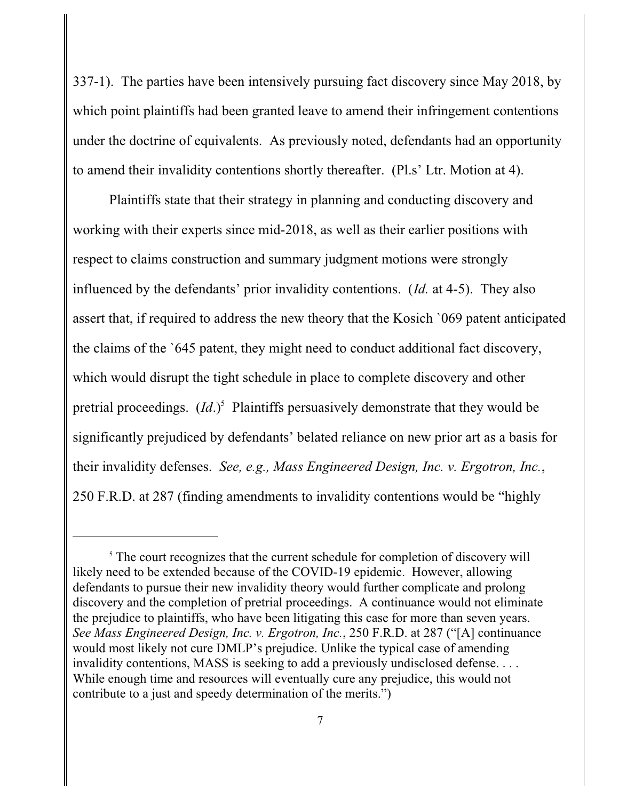337-1). The parties have been intensively pursuing fact discovery since May 2018, by which point plaintiffs had been granted leave to amend their infringement contentions under the doctrine of equivalents. As previously noted, defendants had an opportunity to amend their invalidity contentions shortly thereafter. (Pl.s' Ltr. Motion at 4).

Plaintiffs state that their strategy in planning and conducting discovery and working with their experts since mid-2018, as well as their earlier positions with respect to claims construction and summary judgment motions were strongly influenced by the defendants' prior invalidity contentions. (*Id.* at 4-5). They also assert that, if required to address the new theory that the Kosich `069 patent anticipated the claims of the `645 patent, they might need to conduct additional fact discovery, which would disrupt the tight schedule in place to complete discovery and other pretrial proceedings.  $(Id.)^5$  Plaintiffs persuasively demonstrate that they would be significantly prejudiced by defendants' belated reliance on new prior art as a basis for their invalidity defenses. *See, e.g., Mass Engineered Design, Inc. v. Ergotron, Inc.*, 250 F.R.D. at 287 (finding amendments to invalidity contentions would be "highly

<sup>&</sup>lt;sup>5</sup> The court recognizes that the current schedule for completion of discovery will likely need to be extended because of the COVID-19 epidemic. However, allowing defendants to pursue their new invalidity theory would further complicate and prolong discovery and the completion of pretrial proceedings. A continuance would not eliminate the prejudice to plaintiffs, who have been litigating this case for more than seven years. *See Mass Engineered Design, Inc. v. Ergotron, Inc.*, 250 F.R.D. at 287 ("[A] continuance would most likely not cure DMLP's prejudice. Unlike the typical case of amending invalidity contentions, MASS is seeking to add a previously undisclosed defense. . . . While enough time and resources will eventually cure any prejudice, this would not contribute to a just and speedy determination of the merits.")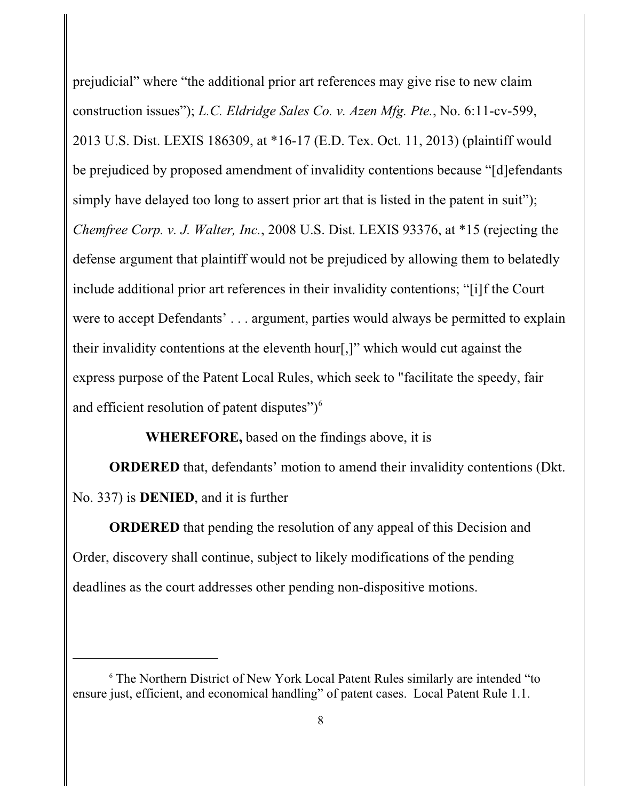prejudicial" where "the additional prior art references may give rise to new claim construction issues"); *L.C. Eldridge Sales Co. v. Azen Mfg. Pte.*, No. 6:11-cv-599, 2013 U.S. Dist. LEXIS 186309, at \*16-17 (E.D. Tex. Oct. 11, 2013) (plaintiff would be prejudiced by proposed amendment of invalidity contentions because "[d]efendants simply have delayed too long to assert prior art that is listed in the patent in suit"); *Chemfree Corp. v. J. Walter, Inc.*, 2008 U.S. Dist. LEXIS 93376, at \*15 (rejecting the defense argument that plaintiff would not be prejudiced by allowing them to belatedly include additional prior art references in their invalidity contentions; "[i]f the Court were to accept Defendants' . . . argument, parties would always be permitted to explain their invalidity contentions at the eleventh hour[,]" which would cut against the express purpose of the Patent Local Rules, which seek to "facilitate the speedy, fair and efficient resolution of patent disputes" $\rho$ <sup>6</sup>

**WHEREFORE,** based on the findings above, it is

**ORDERED** that, defendants' motion to amend their invalidity contentions (Dkt. No. 337) is **DENIED**, and it is further

**ORDERED** that pending the resolution of any appeal of this Decision and Order, discovery shall continue, subject to likely modifications of the pending deadlines as the court addresses other pending non-dispositive motions.

<sup>6</sup> The Northern District of New York Local Patent Rules similarly are intended "to ensure just, efficient, and economical handling" of patent cases. Local Patent Rule 1.1.